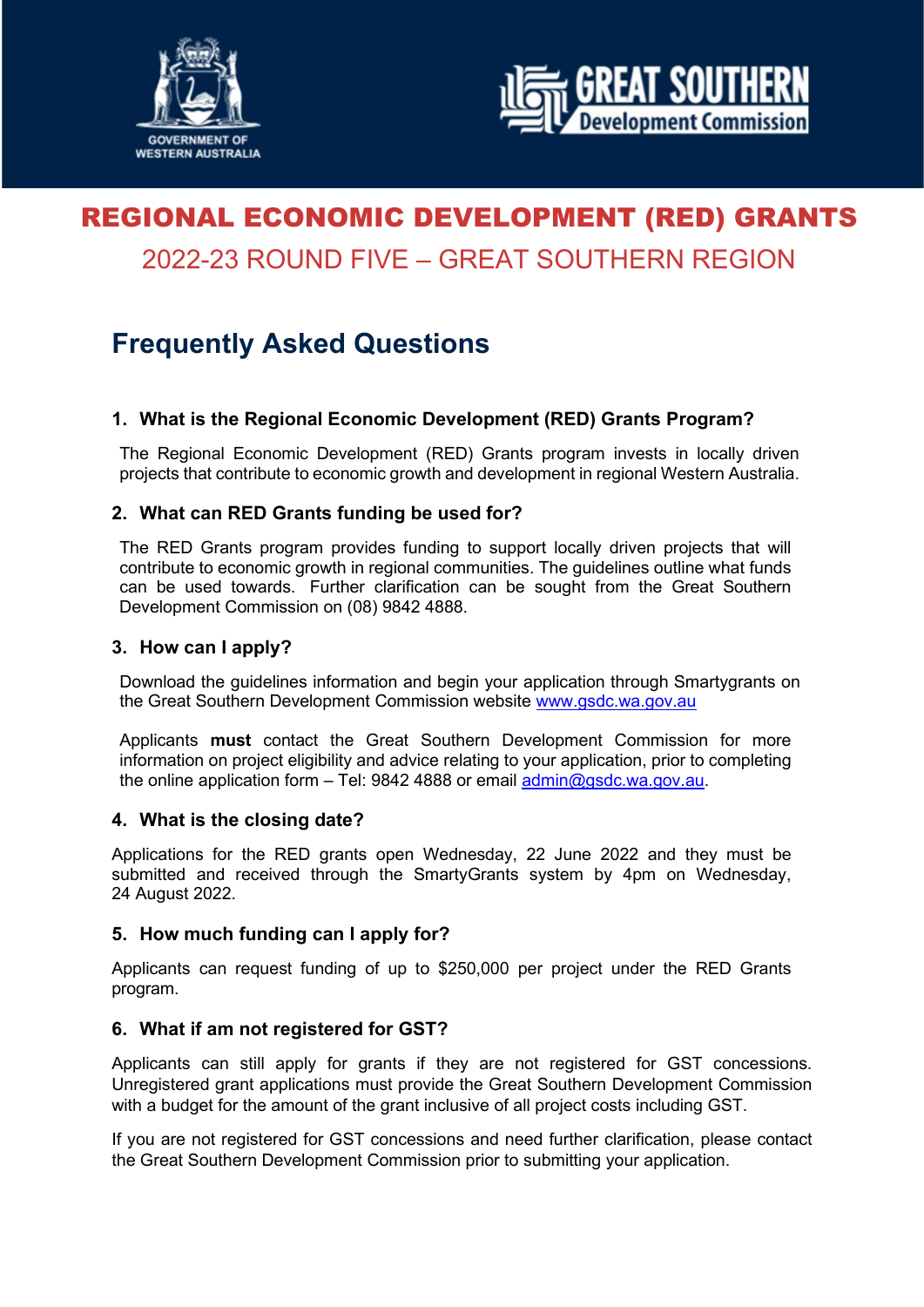



# REGIONAL ECONOMIC DEVELOPMENT (RED) GRANTS 2022-23 ROUND FIVE – GREAT SOUTHERN REGION

## **Frequently Asked Questions**

## **1. What is the Regional Economic Development (RED) Grants Program?**

The Regional Economic Development (RED) Grants program invests in locally driven projects that contribute to economic growth and development in regional Western Australia.

## **2. What can RED Grants funding be used for?**

The RED Grants program provides funding to support locally driven projects that will contribute to economic growth in regional communities. The guidelines outline what funds can be used towards. Further clarification can be sought from the Great Southern Development Commission on (08) 9842 4888.

#### **3. How can I apply?**

Download the guidelines information and begin your application through Smartygrants on the Great Southern Development Commission website [www.gsdc.wa.gov.au](https://www.gsdc.wa.gov.au/our-activities/funding/red-grants/)

Applicants **must** contact the Great Southern Development Commission for more information on project eligibility and advice relating to your application, prior to completing the online application form – Tel: 9842 4888 or email [admin@gsdc.wa.gov.au.](mailto:admin@gsdc.wa.gov.au)

#### **4. What is the closing date?**

Applications for the RED grants open Wednesday, 22 June 2022 and they must be submitted and received through the SmartyGrants system by 4pm on Wednesday, 24 August 2022.

#### **5. How much funding can I apply for?**

Applicants can request funding of up to \$250,000 per project under the RED Grants program.

#### **6. What if am not registered for GST?**

Applicants can still apply for grants if they are not registered for GST concessions. Unregistered grant applications must provide the Great Southern Development Commission with a budget for the amount of the grant inclusive of all project costs including GST.

If you are not registered for GST concessions and need further clarification, please contact the Great Southern Development Commission prior to submitting your application.